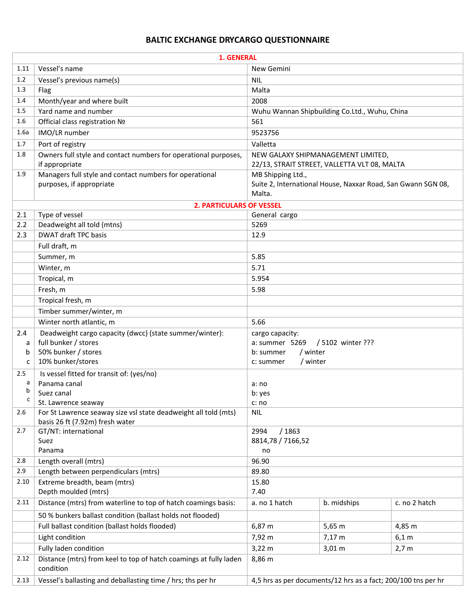## **BALTIC EXCHANGE DRYCARGO QUESTIONNAIRE**

|          | 1. GENERAL                                                                     |                                                               |                                              |               |  |
|----------|--------------------------------------------------------------------------------|---------------------------------------------------------------|----------------------------------------------|---------------|--|
| 1.11     | Vessel's name                                                                  | New Gemini                                                    |                                              |               |  |
| 1.2      | Vessel's previous name(s)                                                      | <b>NIL</b>                                                    |                                              |               |  |
| 1.3      | Flag                                                                           | Malta                                                         |                                              |               |  |
| 1.4      | Month/year and where built                                                     | 2008                                                          |                                              |               |  |
| 1.5      | Yard name and number                                                           | Wuhu Wannan Shipbuilding Co.Ltd., Wuhu, China                 |                                              |               |  |
| 1.6      | Official class registration Nº                                                 | 561                                                           |                                              |               |  |
| 1.6a     | IMO/LR number                                                                  | 9523756                                                       |                                              |               |  |
| 1.7      | Port of registry                                                               | Valletta                                                      |                                              |               |  |
| 1.8      | Owners full style and contact numbers for operational purposes,                |                                                               | NEW GALAXY SHIPMANAGEMENT LIMITED,           |               |  |
|          | if appropriate                                                                 |                                                               | 22/13, STRAIT STREET, VALLETTA VLT 08, MALTA |               |  |
| 1.9      | Managers full style and contact numbers for operational                        | MB Shipping Ltd.,                                             |                                              |               |  |
|          | purposes, if appropriate                                                       | Suite 2, International House, Naxxar Road, San Gwann SGN 08,  |                                              |               |  |
|          |                                                                                | Malta.                                                        |                                              |               |  |
|          | <b>2. PARTICULARS OF VESSEL</b>                                                |                                                               |                                              |               |  |
| 2.1      | Type of vessel                                                                 | General cargo                                                 |                                              |               |  |
| 2.2      | Deadweight all told (mtns)                                                     | 5269                                                          |                                              |               |  |
| 2.3      | <b>DWAT draft TPC basis</b>                                                    | 12.9                                                          |                                              |               |  |
|          | Full draft, m                                                                  |                                                               |                                              |               |  |
|          | Summer, m                                                                      | 5.85                                                          |                                              |               |  |
|          | Winter, m                                                                      | 5.71                                                          |                                              |               |  |
|          | Tropical, m                                                                    | 5.954                                                         |                                              |               |  |
|          | Fresh, m                                                                       | 5.98                                                          |                                              |               |  |
|          | Tropical fresh, m                                                              |                                                               |                                              |               |  |
|          | Timber summer/winter, m                                                        |                                                               |                                              |               |  |
|          | Winter north atlantic, m                                                       | 5.66                                                          |                                              |               |  |
| 2.4      | Deadweight cargo capacity (dwcc) (state summer/winter):                        | cargo capacity:                                               |                                              |               |  |
| a        | full bunker / stores                                                           | / 5102 winter ???<br>a: summer 5269                           |                                              |               |  |
| b        | 50% bunker / stores<br>10% bunker/stores                                       | / winter<br>b: summer<br>/ winter                             |                                              |               |  |
| c        |                                                                                | c: summer                                                     |                                              |               |  |
| 2.5<br>a | Is vessel fitted for transit of: (yes/no)                                      |                                                               |                                              |               |  |
| b        | Panama canal<br>Suez canal                                                     | a: no                                                         |                                              |               |  |
|          | St. Lawrence seaway                                                            | b: yes<br>c: no                                               |                                              |               |  |
| 2.6      | For St Lawrence seaway size vsl state deadweight all told (mts)                | <b>NIL</b>                                                    |                                              |               |  |
|          | basis 26 ft (7.92m) fresh water                                                |                                                               |                                              |               |  |
| 2.7      | GT/NT: international                                                           | /1863<br>2994                                                 |                                              |               |  |
|          | Suez                                                                           | 8814,78 / 7166,52                                             |                                              |               |  |
|          | Panama                                                                         | no                                                            |                                              |               |  |
| 2.8      | Length overall (mtrs)                                                          | 96.90                                                         |                                              |               |  |
| 2.9      | Length between perpendiculars (mtrs)                                           | 89.80                                                         |                                              |               |  |
| 2.10     | Extreme breadth, beam (mtrs)                                                   | 15.80                                                         |                                              |               |  |
|          | Depth moulded (mtrs)                                                           | 7.40                                                          |                                              |               |  |
| 2.11     | Distance (mtrs) from waterline to top of hatch coamings basis:                 | a. no 1 hatch                                                 | b. midships                                  | c. no 2 hatch |  |
|          | 50 % bunkers ballast condition (ballast holds not flooded)                     |                                                               |                                              |               |  |
|          | Full ballast condition (ballast holds flooded)                                 | 6,87 m                                                        | 5,65 m                                       | 4,85 m        |  |
|          | Light condition                                                                | 7,92 m                                                        | $7,17 \; m$                                  | 6,1 m         |  |
|          | Fully laden condition                                                          | $3,22 \, m$                                                   | $3,01 \, m$                                  | 2,7 m         |  |
| 2.12     | Distance (mtrs) from keel to top of hatch coamings at fully laden<br>condition | 8,86 m                                                        |                                              |               |  |
| 2.13     | Vessel's ballasting and deballasting time / hrs; ths per hr                    | 4,5 hrs as per documents/12 hrs as a fact; 200/100 tns per hr |                                              |               |  |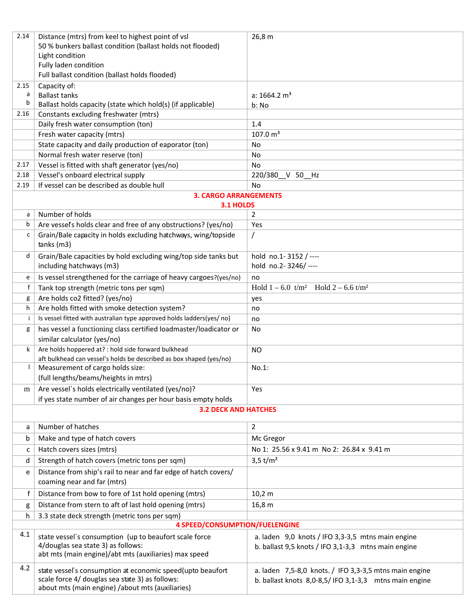| 2.14                         | Distance (mtrs) from keel to highest point of vsl                                                                                                                 | 26,8 m                                                                                                               |  |  |  |  |
|------------------------------|-------------------------------------------------------------------------------------------------------------------------------------------------------------------|----------------------------------------------------------------------------------------------------------------------|--|--|--|--|
|                              | 50 % bunkers ballast condition (ballast holds not flooded)                                                                                                        |                                                                                                                      |  |  |  |  |
|                              | Light condition                                                                                                                                                   |                                                                                                                      |  |  |  |  |
|                              | Fully laden condition<br>Full ballast condition (ballast holds flooded)                                                                                           |                                                                                                                      |  |  |  |  |
|                              |                                                                                                                                                                   |                                                                                                                      |  |  |  |  |
| 2.15<br>a                    | Capacity of:<br><b>Ballast tanks</b>                                                                                                                              | a: $1664.2 \text{ m}^3$                                                                                              |  |  |  |  |
| b                            | Ballast holds capacity (state which hold(s) (if applicable)                                                                                                       | b: No                                                                                                                |  |  |  |  |
| 2.16                         | Constants excluding freshwater (mtrs)                                                                                                                             |                                                                                                                      |  |  |  |  |
|                              | Daily fresh water consumption (ton)                                                                                                                               | 1.4                                                                                                                  |  |  |  |  |
|                              | Fresh water capacity (mtrs)                                                                                                                                       | 107.0 m <sup>3</sup>                                                                                                 |  |  |  |  |
|                              | State capacity and daily production of eaporator (ton)                                                                                                            | No                                                                                                                   |  |  |  |  |
|                              | Normal fresh water reserve (ton)                                                                                                                                  | No                                                                                                                   |  |  |  |  |
| 2.17                         | Vessel is fitted with shaft generator (yes/no)                                                                                                                    | No                                                                                                                   |  |  |  |  |
| 2.18                         | Vessel's onboard electrical supply                                                                                                                                | 220/380 V 50 Hz                                                                                                      |  |  |  |  |
| 2.19                         | If yessel can be described as double hull                                                                                                                         | No                                                                                                                   |  |  |  |  |
| <b>3. CARGO ARRANGEMENTS</b> |                                                                                                                                                                   |                                                                                                                      |  |  |  |  |
|                              | 3.1 HOLDS                                                                                                                                                         |                                                                                                                      |  |  |  |  |
| a                            | Number of holds                                                                                                                                                   | $\overline{2}$                                                                                                       |  |  |  |  |
| b                            | Are vessel's holds clear and free of any obstructions? (yes/no)                                                                                                   | Yes                                                                                                                  |  |  |  |  |
| c                            | Grain/Bale capacity in holds excluding hatchways, wing/topside<br>tanks(m3)                                                                                       | $\prime$                                                                                                             |  |  |  |  |
| d                            | Grain/Bale capacities by hold excluding wing/top side tanks but                                                                                                   | hold no.1-3152 / ----                                                                                                |  |  |  |  |
|                              | including hatchways (m3)                                                                                                                                          | hold no.2-3246/----                                                                                                  |  |  |  |  |
| e                            | Is vessel strengthened for the carriage of heavy cargoes?(yes/no)                                                                                                 | no                                                                                                                   |  |  |  |  |
| f                            | Tank top strength (metric tons per sqm)                                                                                                                           | Hold $1 - 6.0$ t/m <sup>2</sup> Hold $2 - 6.6$ t/m <sup>2</sup>                                                      |  |  |  |  |
| g                            | Are holds co2 fitted? (yes/no)                                                                                                                                    | yes                                                                                                                  |  |  |  |  |
| h                            | Are holds fitted with smoke detection system?                                                                                                                     | no                                                                                                                   |  |  |  |  |
| Ť                            | Is vessel fitted with australian type approved holds ladders(yes/ no)                                                                                             | no                                                                                                                   |  |  |  |  |
| g                            | has vessel a functioning class certified loadmaster/loadicator or<br>similar calculator (yes/no)                                                                  | No                                                                                                                   |  |  |  |  |
| k                            | Are holds hoppered at? : hold side forward bulkhead                                                                                                               | <b>NO</b>                                                                                                            |  |  |  |  |
|                              | aft bulkhead can vessel's holds be described as box shaped (yes/no)                                                                                               |                                                                                                                      |  |  |  |  |
|                              | Measurement of cargo holds size:                                                                                                                                  | No.1:                                                                                                                |  |  |  |  |
|                              | (full lengths/beams/heights in mtrs)                                                                                                                              |                                                                                                                      |  |  |  |  |
| m                            | Are vessel's holds electrically ventilated (yes/no)?                                                                                                              | <b>Yes</b>                                                                                                           |  |  |  |  |
|                              | if yes state number of air changes per hour basis empty holds                                                                                                     |                                                                                                                      |  |  |  |  |
|                              | <b>3.2 DECK AND HATCHES</b>                                                                                                                                       |                                                                                                                      |  |  |  |  |
|                              | Number of hatches                                                                                                                                                 | $\overline{2}$                                                                                                       |  |  |  |  |
| a                            |                                                                                                                                                                   |                                                                                                                      |  |  |  |  |
| b                            | Make and type of hatch covers                                                                                                                                     | Mc Gregor                                                                                                            |  |  |  |  |
| c                            | Hatch covers sizes (mtrs)                                                                                                                                         | No 1: 25.56 x 9.41 m No 2: 26.84 x 9.41 m                                                                            |  |  |  |  |
| d                            | Strength of hatch covers (metric tons per sqm)                                                                                                                    | 3,5 $t/m^2$                                                                                                          |  |  |  |  |
| e                            | Distance from ship's rail to near and far edge of hatch covers/<br>coaming near and far (mtrs)                                                                    |                                                                                                                      |  |  |  |  |
| f                            | Distance from bow to fore of 1st hold opening (mtrs)                                                                                                              | 10,2 m                                                                                                               |  |  |  |  |
| g                            | Distance from stern to aft of last hold opening (mtrs)                                                                                                            | 16,8 m                                                                                                               |  |  |  |  |
| h                            | 3.3 state deck strength (metric tons per sqm)                                                                                                                     |                                                                                                                      |  |  |  |  |
|                              | <b>4 SPEED/CONSUMPTION/FUELENGINE</b>                                                                                                                             |                                                                                                                      |  |  |  |  |
| 4.1                          | state vessel's consumption (up to beaufort scale force                                                                                                            | a. laden 9,0 knots / IFO 3,3-3,5 mtns main engine                                                                    |  |  |  |  |
|                              | 4/douglas sea state 3) as follows:<br>abt mts (main engine)/abt mts (auxiliaries) max speed                                                                       | b. ballast 9,5 knots / IFO 3,1-3,3 mtns main engine                                                                  |  |  |  |  |
| 4.2                          | state vessel's consumption at economic speed(upto beaufort<br>scale force 4/ douglas sea state 3) as follows:<br>about mts (main engine) /about mts (auxiliaries) | a. laden $7,5-8,0$ knots. / IFO 3,3-3,5 mtns main engine<br>b. ballast knots $8,0-8,5/$ IFO 3,1-3,3 mtns main engine |  |  |  |  |